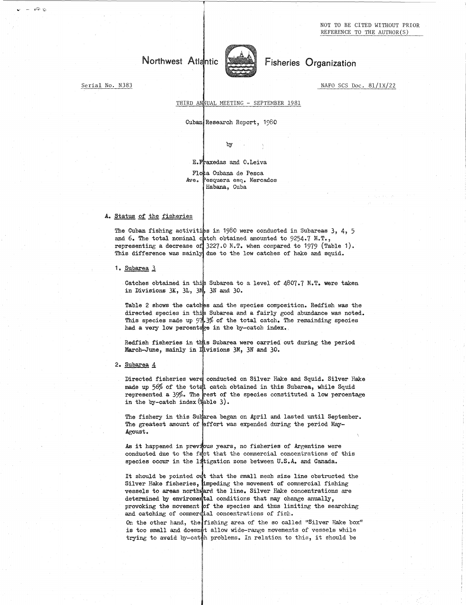NOT TO BE CITED WITHOUT PRIOR REFERENCE TO THE AUTHOR(S)



Serial No. N383 NAFO SCS Doc. 81/IX/22

 $\approx$   $\circ$ 

## THIRD ANNUAL MEETING - SEPTEMBER 1981

Cuban Research Report, 1980

by

## E. Fraxedas and O. Leiva

Flota Cubana de Pesca<br>Ave. Pesquera esq. Merc Pesquera esq. Mercados Habana, Cuba

## A. Status of the fisheries

The Cuban fishing activities in 1980 were conducted in Subareas 3, 4, 5 and 6. The total nominal c representing a decrease of This difference was mainly due to the low catches of hake and squid. tch obtained amounted to 9254.7 M.T., 3227.0 M.T. when compared to 1979 (Table 1).

1. Subarea<sub>3</sub>

Catches obtained in this Subarea to a level of  $4807.7$  M.T. were taken in Divisions 3K, 3L, 3M, 3N and 30.

Table 2 shows the catches and the species composition. Redfish was the directed species in this Subarea and a fairly good abundance was noted. This species made up  $97.3\%$  of the total catch. The remainding species had a very low percentage in the by-catch index.

Redfish fisheries in this Subarea were carried out during the period March-June, mainly in Divisions 3M, 3N and 30.

2. Subarea 4

Directed fisheries were conducted on Silver Hake and Squid. Silver Hake made up 56% of the total catch obtained in this Subarea, while Squid represented a  $39\%$ . The rest of the species constituted a low percentage in the by-catch index  $(\frac{1}{2}$ able 3).

The fishery in this Subarea began on April and lasted until September. The greatest amount of effort was expended during the period May-Agoust.

As it happened in previous years, no fisheries of Argentine were conducted due to the falct that the commercial concentrations of this species occur in the litigation zone between U.S.A. and Canada.

It should be pointed out that the small mesh size line obstructed the Silver Hake fisheries, impeding the movement of commercial fishing vessels to areas northward the line. Silver Hake concentrations are determined by enviromental conditions that may change anually, provoking the movement of the species and thus limiting the searching and catching of commercial concentrations of fish.

On the other hand, the fishing area of the so called "Silver Hake box" is too small and doesnot allow wide-range movements of vessels while trying to avoid by-catch problems. In relation to this, it should be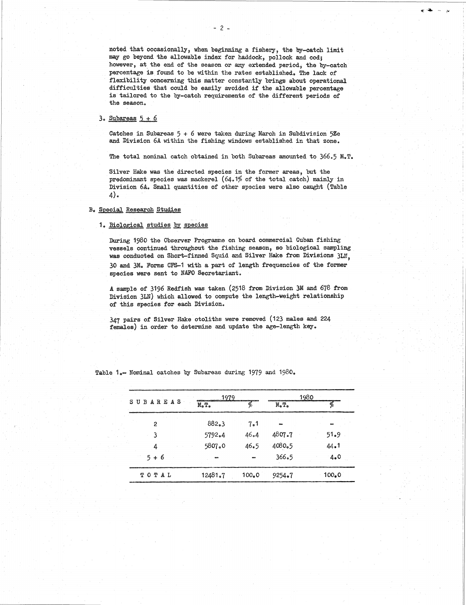noted that occasionally, when beginning a fishery, the by-catch limit may go beyond the allowable index for haddock, pollock and cod; however, at the end of the season or any extended period, the by-catch percentage *is* found to be within the rates established. The lack of flexibility ooncerning this matter constantly brings about operational difficulties that could be easily avoided if the allowable percentage is tailored to the by-catch requirements of the different periods of the season. noted that occomay go beyond<br>however, at the<br>percentage is<br>flexibility ood<br>difficulties the stailored to<br>the season.<br>3. Subareas  $\frac{5}{7} + \frac{6}{7}$ <br>Catches in Suband Division 6

 

Catches in Subareas  $5 + 6$  were taken during March in Subdivision  $5\%$ e and Division 6A within the fishing windows established in that zone.

The total nominal catch obtained in both Subareas amounted to 366.5 M.T.

Silver Hake *was* the directed species in the former areas, but the predominant species *was* mackerel (64.1% of the total catch) mainly in Division 6A. Small quantities of other species were also caught (Table 4).

## B. Special. Research Studies

# 1. Biological studies by species

During 1980 the Observer Programme on board commercial Cuban fishing vessels continued throughout the fishing season, so biological sampling was conducted on Short-finned Squid and Silver Hake from Divisions 3LN, 30 and 3M. Forms CFS-1 with a part of length frequencies of the former species were sent to NAFO Secretariant.

A sample of 3196 Redfish was taken (2518 from Division 3M and 678 from Division 3LN) which allowed to compute the length-weight relationship of this species for each Division.

347 pairs of Silver Hake otoliths were removed (123 males and 224 females) in order to determine and update the age-length key.

|  | Table 1.- Nominal catches by Subareas during 1979 and 1980. |                       |                    |                          |                    |
|--|-------------------------------------------------------------|-----------------------|--------------------|--------------------------|--------------------|
|  |                                                             | 1979                  |                    |                          | 1980               |
|  | SUBAREAS                                                    | $M_{\odot} T_{\odot}$ | Ļ.                 | $M_{\bullet}T_{\bullet}$ | K                  |
|  | $\overline{c}$                                              | 882.3                 | 7.1                |                          |                    |
|  | 3                                                           | 5792.4                | 46.4               | 4807.7                   | 51.9               |
|  | 4                                                           | 5807.0                | 46.5               | 4080.5                   | 44.1               |
|  | $5 + 6$                                                     |                       |                    | 366.5                    | 4.0                |
|  | TOTAL                                                       | 12481.7               | 100 <sub>e</sub> 0 | 9254.7                   | 100 <sub>e</sub> 0 |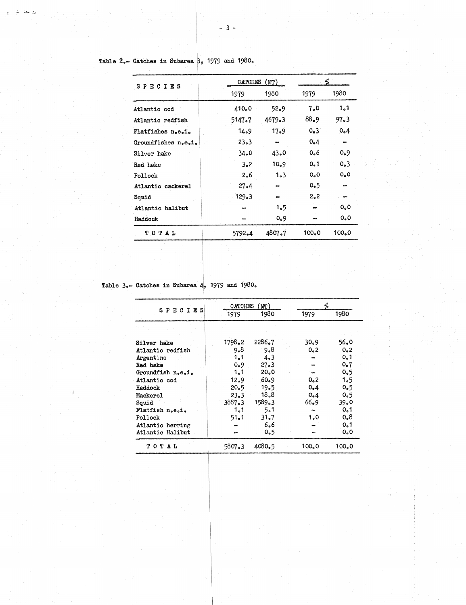|                                                               | $3 -$    |                              |       |                          |
|---------------------------------------------------------------|----------|------------------------------|-------|--------------------------|
|                                                               |          |                              |       |                          |
|                                                               |          |                              |       |                          |
| Table $2_{\circ}$ Catches in Subarea $\beta$ , 1979 and 1980. |          |                              |       |                          |
|                                                               | CATCHES  | (MT)                         |       | %                        |
| <b>SPECIES</b>                                                | 1979     | 1980                         | 1979  | 1980                     |
| Atlantic cod                                                  | 410.0    | 52.9                         | 7.0   | 1.1                      |
| Atlantic redfish                                              | 5147.7   | 4679.3                       | 88.9  | 97.3                     |
| Flatfishes n.e.i.                                             | 14.9     | $17-9$                       | 0.3   | 0.4                      |
| Groundfishes n.e.i.                                           | 23.3     | $\qquad \qquad \blacksquare$ | 0.4   |                          |
| Silver hake                                                   | 34.0     | 43.0                         | 0.6   | 0.9                      |
| Red hake                                                      | 3.2      | 10.9                         | 0.1   | 0.3                      |
| Pollock                                                       | 2.6      | 1.3                          | 0, 0  | 0,0                      |
| Atlantic cackerel                                             | $27 - 4$ |                              | 0.5   | $\overline{\phantom{a}}$ |
| Squid                                                         | 129.3    |                              | 2.2   | $\sim$                   |
| Atlantic halibut                                              |          | 1.5                          |       | $O_0 O$                  |
| Haddock                                                       |          | 0.9                          |       | 0, 0                     |
| TOTAL                                                         | 5792.4   | 4807.7                       | 100.0 | 100 <sub>o</sub> 0       |
|                                                               |          |                              |       |                          |

*b*

 $\Delta$  $\epsilon$ 

Table 3.-- Catches in Subarea  $4, 1979$  and  $1980$ .

| 5792.4          | 1.5<br>0.9<br>4807.7                                        |                                                                                                                  | 100.0                        | 0 <sub>o</sub><br>0, 0<br>100 <sub>n</sub> 0 |  |
|-----------------|-------------------------------------------------------------|------------------------------------------------------------------------------------------------------------------|------------------------------|----------------------------------------------|--|
|                 |                                                             |                                                                                                                  |                              |                                              |  |
|                 |                                                             |                                                                                                                  |                              |                                              |  |
|                 |                                                             |                                                                                                                  |                              |                                              |  |
|                 |                                                             |                                                                                                                  |                              |                                              |  |
|                 |                                                             |                                                                                                                  |                              |                                              |  |
|                 |                                                             |                                                                                                                  |                              |                                              |  |
|                 |                                                             |                                                                                                                  |                              |                                              |  |
|                 |                                                             |                                                                                                                  |                              |                                              |  |
|                 |                                                             |                                                                                                                  |                              |                                              |  |
|                 |                                                             |                                                                                                                  |                              |                                              |  |
| CATCHES<br>(MT) |                                                             |                                                                                                                  | %                            |                                              |  |
| 1979            |                                                             |                                                                                                                  |                              | 1980                                         |  |
|                 |                                                             |                                                                                                                  |                              |                                              |  |
|                 | 2286.7                                                      |                                                                                                                  | 30.9                         | 56.0                                         |  |
| 9.8             | 9.8                                                         |                                                                                                                  | 0.2                          | 0.2                                          |  |
| 1.1             | 4.3                                                         |                                                                                                                  |                              | 0.1                                          |  |
| 0.9             | 27.3                                                        |                                                                                                                  |                              | 0.7                                          |  |
| 1.1             | 20.0                                                        |                                                                                                                  | $\qquad \qquad \blacksquare$ | 0.5                                          |  |
|                 |                                                             |                                                                                                                  |                              | 1.5                                          |  |
| 20.5            |                                                             |                                                                                                                  | 0.4                          | 0.5                                          |  |
|                 |                                                             |                                                                                                                  |                              | 0.5                                          |  |
|                 |                                                             |                                                                                                                  |                              | 39.0                                         |  |
|                 |                                                             |                                                                                                                  | ò,                           | 0.1                                          |  |
|                 |                                                             |                                                                                                                  |                              | 0,8                                          |  |
|                 |                                                             |                                                                                                                  |                              | 0.1                                          |  |
|                 |                                                             |                                                                                                                  |                              | 0.0                                          |  |
|                 | 4080.5                                                      |                                                                                                                  | 100 <sub>e</sub> 0           | 100.0                                        |  |
|                 | 1798.2<br>12.9<br>$23-3$<br>3887.3<br>1.1<br>51.1<br>5807.3 | Catches in Subarea $4, 1979$ and $1980$ .<br>1980<br>60.9<br>19.5<br>18.8<br>1589.3<br>5.1<br>31.7<br>6.6<br>0.5 |                              | 1979<br>0, 2<br>0.4<br>66.9<br>1.0           |  |